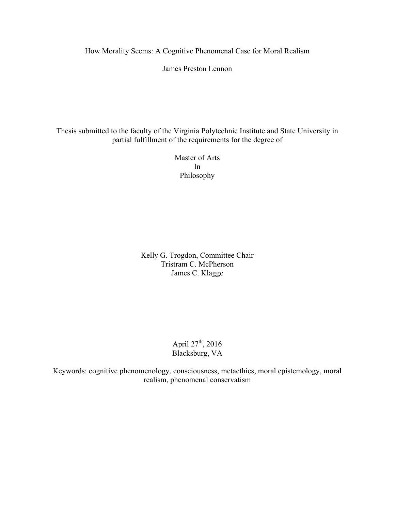How Morality Seems: A Cognitive Phenomenal Case for Moral Realism

James Preston Lennon

Thesis submitted to the faculty of the Virginia Polytechnic Institute and State University in partial fulfillment of the requirements for the degree of

> Master of Arts In Philosophy

Kelly G. Trogdon, Committee Chair Tristram C. McPherson James C. Klagge

> April  $27^{th}$ , 2016 Blacksburg, VA

Keywords: cognitive phenomenology, consciousness, metaethics, moral epistemology, moral realism, phenomenal conservatism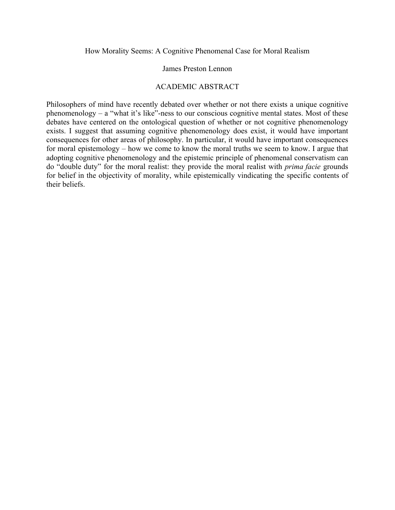How Morality Seems: A Cognitive Phenomenal Case for Moral Realism

#### James Preston Lennon

## ACADEMIC ABSTRACT

Philosophers of mind have recently debated over whether or not there exists a unique cognitive phenomenology – a "what it's like"-ness to our conscious cognitive mental states. Most of these debates have centered on the ontological question of whether or not cognitive phenomenology exists. I suggest that assuming cognitive phenomenology does exist, it would have important consequences for other areas of philosophy. In particular, it would have important consequences for moral epistemology – how we come to know the moral truths we seem to know. I argue that adopting cognitive phenomenology and the epistemic principle of phenomenal conservatism can do "double duty" for the moral realist: they provide the moral realist with *prima facie* grounds for belief in the objectivity of morality, while epistemically vindicating the specific contents of their beliefs.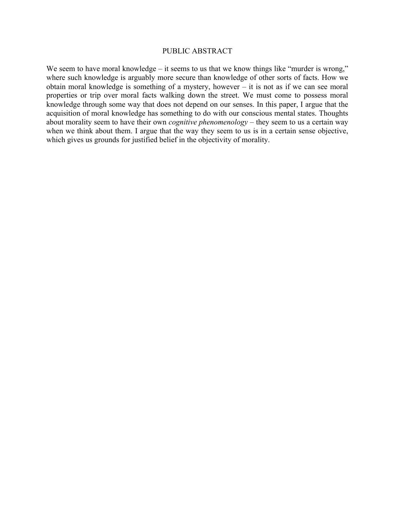#### PUBLIC ABSTRACT

We seem to have moral knowledge – it seems to us that we know things like "murder is wrong," where such knowledge is arguably more secure than knowledge of other sorts of facts. How we obtain moral knowledge is something of a mystery, however – it is not as if we can see moral properties or trip over moral facts walking down the street. We must come to possess moral knowledge through some way that does not depend on our senses. In this paper, I argue that the acquisition of moral knowledge has something to do with our conscious mental states. Thoughts about morality seem to have their own *cognitive phenomenology* – they seem to us a certain way when we think about them. I argue that the way they seem to us is in a certain sense objective, which gives us grounds for justified belief in the objectivity of morality.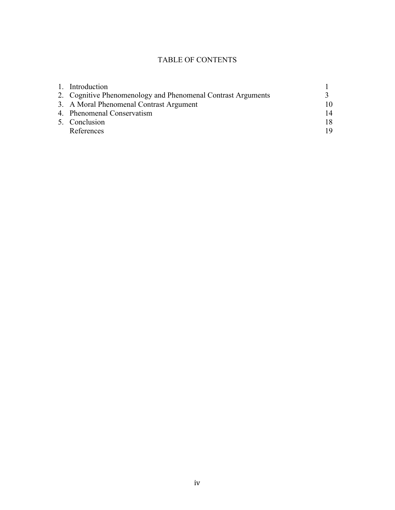# TABLE OF CONTENTS

|  | 1. Introduction                                              |    |
|--|--------------------------------------------------------------|----|
|  | 2. Cognitive Phenomenology and Phenomenal Contrast Arguments |    |
|  | 3. A Moral Phenomenal Contrast Argument                      | 10 |
|  | 4. Phenomenal Conservatism                                   | 14 |
|  | 5. Conclusion                                                | 18 |
|  | References                                                   | 19 |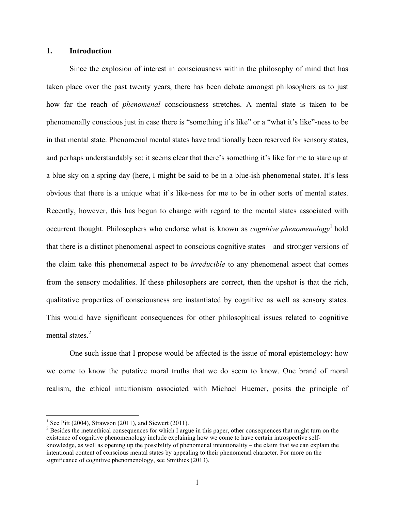#### **1. Introduction**

Since the explosion of interest in consciousness within the philosophy of mind that has taken place over the past twenty years, there has been debate amongst philosophers as to just how far the reach of *phenomenal* consciousness stretches. A mental state is taken to be phenomenally conscious just in case there is "something it's like" or a "what it's like"-ness to be in that mental state. Phenomenal mental states have traditionally been reserved for sensory states, and perhaps understandably so: it seems clear that there's something it's like for me to stare up at a blue sky on a spring day (here, I might be said to be in a blue-ish phenomenal state). It's less obvious that there is a unique what it's like-ness for me to be in other sorts of mental states. Recently, however, this has begun to change with regard to the mental states associated with occurrent thought. Philosophers who endorse what is known as *cognitive phenomenology*<sup>1</sup> hold that there is a distinct phenomenal aspect to conscious cognitive states – and stronger versions of the claim take this phenomenal aspect to be *irreducible* to any phenomenal aspect that comes from the sensory modalities. If these philosophers are correct, then the upshot is that the rich, qualitative properties of consciousness are instantiated by cognitive as well as sensory states. This would have significant consequences for other philosophical issues related to cognitive mental states.<sup>2</sup>

One such issue that I propose would be affected is the issue of moral epistemology: how we come to know the putative moral truths that we do seem to know. One brand of moral realism, the ethical intuitionism associated with Michael Huemer, posits the principle of

<sup>&</sup>lt;sup>1</sup> See Pitt (2004), Strawson (2011), and Siewert (2011).

<sup>&</sup>lt;sup>2</sup> Besides the metaethical consequences for which I argue in this paper, other consequences that might turn on the existence of cognitive phenomenology include explaining how we come to have certain introspective selfknowledge, as well as opening up the possibility of phenomenal intentionality – the claim that we can explain the intentional content of conscious mental states by appealing to their phenomenal character. For more on the significance of cognitive phenomenology, see Smithies (2013).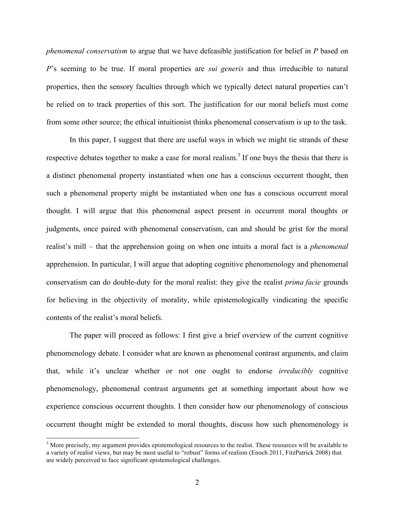*phenomenal conservatism* to argue that we have defeasible justification for belief in *P* based on *P*'s seeming to be true. If moral properties are *sui generis* and thus irreducible to natural properties, then the sensory faculties through which we typically detect natural properties can't be relied on to track properties of this sort. The justification for our moral beliefs must come from some other source; the ethical intuitionist thinks phenomenal conservatism is up to the task.

In this paper, I suggest that there are useful ways in which we might tie strands of these respective debates together to make a case for moral realism.<sup>3</sup> If one buys the thesis that there is a distinct phenomenal property instantiated when one has a conscious occurrent thought, then such a phenomenal property might be instantiated when one has a conscious occurrent moral thought. I will argue that this phenomenal aspect present in occurrent moral thoughts or judgments, once paired with phenomenal conservatism, can and should be grist for the moral realist's mill – that the apprehension going on when one intuits a moral fact is a *phenomenal* apprehension. In particular, I will argue that adopting cognitive phenomenology and phenomenal conservatism can do double-duty for the moral realist: they give the realist *prima facie* grounds for believing in the objectivity of morality, while epistemologically vindicating the specific contents of the realist's moral beliefs.

The paper will proceed as follows: I first give a brief overview of the current cognitive phenomenology debate. I consider what are known as phenomenal contrast arguments, and claim that, while it's unclear whether or not one ought to endorse *irreducibly* cognitive phenomenology, phenomenal contrast arguments get at something important about how we experience conscious occurrent thoughts. I then consider how our phenomenology of conscious occurrent thought might be extended to moral thoughts, discuss how such phenomenology is

<sup>&</sup>lt;sup>3</sup> More precisely, my argument provides epistemological resources to the realist. These resources will be available to a variety of realist views, but may be most useful to "robust" forms of realism (Enoch 2011, FitzPatrick 2008) that are widely perceived to face significant epistemological challenges.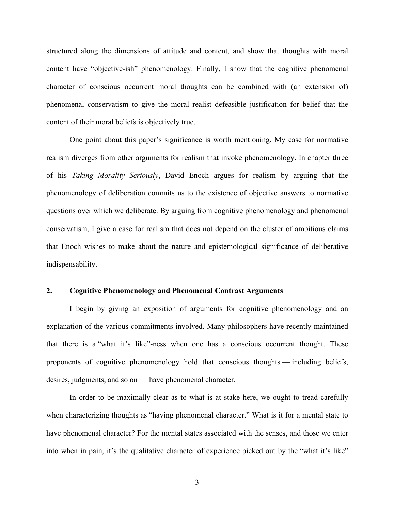structured along the dimensions of attitude and content, and show that thoughts with moral content have "objective-ish" phenomenology. Finally, I show that the cognitive phenomenal character of conscious occurrent moral thoughts can be combined with (an extension of) phenomenal conservatism to give the moral realist defeasible justification for belief that the content of their moral beliefs is objectively true.

One point about this paper's significance is worth mentioning. My case for normative realism diverges from other arguments for realism that invoke phenomenology. In chapter three of his *Taking Morality Seriously*, David Enoch argues for realism by arguing that the phenomenology of deliberation commits us to the existence of objective answers to normative questions over which we deliberate. By arguing from cognitive phenomenology and phenomenal conservatism, I give a case for realism that does not depend on the cluster of ambitious claims that Enoch wishes to make about the nature and epistemological significance of deliberative indispensability.

#### **2. Cognitive Phenomenology and Phenomenal Contrast Arguments**

I begin by giving an exposition of arguments for cognitive phenomenology and an explanation of the various commitments involved. Many philosophers have recently maintained that there is a "what it's like"-ness when one has a conscious occurrent thought. These proponents of cognitive phenomenology hold that conscious thoughts — including beliefs, desires, judgments, and so on — have phenomenal character.

In order to be maximally clear as to what is at stake here, we ought to tread carefully when characterizing thoughts as "having phenomenal character." What is it for a mental state to have phenomenal character? For the mental states associated with the senses, and those we enter into when in pain, it's the qualitative character of experience picked out by the "what it's like"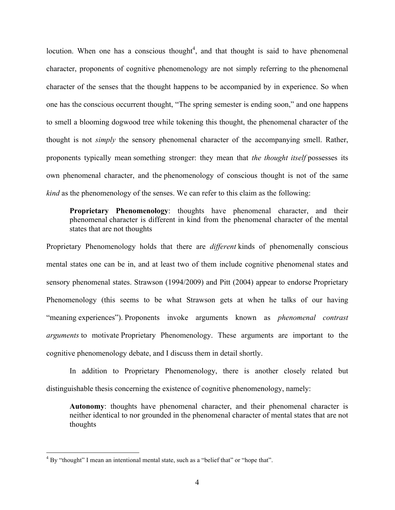locution. When one has a conscious thought<sup>4</sup>, and that thought is said to have phenomenal character, proponents of cognitive phenomenology are not simply referring to the phenomenal character of the senses that the thought happens to be accompanied by in experience. So when one has the conscious occurrent thought, "The spring semester is ending soon," and one happens to smell a blooming dogwood tree while tokening this thought, the phenomenal character of the thought is not *simply* the sensory phenomenal character of the accompanying smell. Rather, proponents typically mean something stronger: they mean that *the thought itself* possesses its own phenomenal character, and the phenomenology of conscious thought is not of the same *kind* as the phenomenology of the senses. We can refer to this claim as the following:

**Proprietary Phenomenology**: thoughts have phenomenal character, and their phenomenal character is different in kind from the phenomenal character of the mental states that are not thoughts

Proprietary Phenomenology holds that there are *different* kinds of phenomenally conscious mental states one can be in, and at least two of them include cognitive phenomenal states and sensory phenomenal states. Strawson (1994/2009) and Pitt (2004) appear to endorse Proprietary Phenomenology (this seems to be what Strawson gets at when he talks of our having "meaning experiences"). Proponents invoke arguments known as *phenomenal contrast arguments* to motivate Proprietary Phenomenology. These arguments are important to the cognitive phenomenology debate, and I discuss them in detail shortly.

In addition to Proprietary Phenomenology, there is another closely related but distinguishable thesis concerning the existence of cognitive phenomenology, namely:

**Autonomy**: thoughts have phenomenal character, and their phenomenal character is neither identical to nor grounded in the phenomenal character of mental states that are not thoughts

<sup>&</sup>lt;sup>4</sup> By "thought" I mean an intentional mental state, such as a "belief that" or "hope that".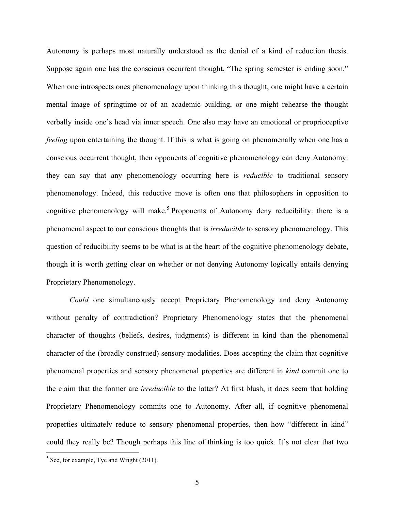Autonomy is perhaps most naturally understood as the denial of a kind of reduction thesis. Suppose again one has the conscious occurrent thought, "The spring semester is ending soon." When one introspects ones phenomenology upon thinking this thought, one might have a certain mental image of springtime or of an academic building, or one might rehearse the thought verbally inside one's head via inner speech. One also may have an emotional or proprioceptive *feeling* upon entertaining the thought. If this is what is going on phenomenally when one has a conscious occurrent thought, then opponents of cognitive phenomenology can deny Autonomy: they can say that any phenomenology occurring here is *reducible* to traditional sensory phenomenology. Indeed, this reductive move is often one that philosophers in opposition to cognitive phenomenology will make.<sup>5</sup> Proponents of Autonomy deny reducibility: there is a phenomenal aspect to our conscious thoughts that is *irreducible* to sensory phenomenology. This question of reducibility seems to be what is at the heart of the cognitive phenomenology debate, though it is worth getting clear on whether or not denying Autonomy logically entails denying Proprietary Phenomenology.

*Could* one simultaneously accept Proprietary Phenomenology and deny Autonomy without penalty of contradiction? Proprietary Phenomenology states that the phenomenal character of thoughts (beliefs, desires, judgments) is different in kind than the phenomenal character of the (broadly construed) sensory modalities. Does accepting the claim that cognitive phenomenal properties and sensory phenomenal properties are different in *kind* commit one to the claim that the former are *irreducible* to the latter? At first blush, it does seem that holding Proprietary Phenomenology commits one to Autonomy. After all, if cognitive phenomenal properties ultimately reduce to sensory phenomenal properties, then how "different in kind" could they really be? Though perhaps this line of thinking is too quick. It's not clear that two

 $<sup>5</sup>$  See, for example, Tye and Wright (2011).</sup>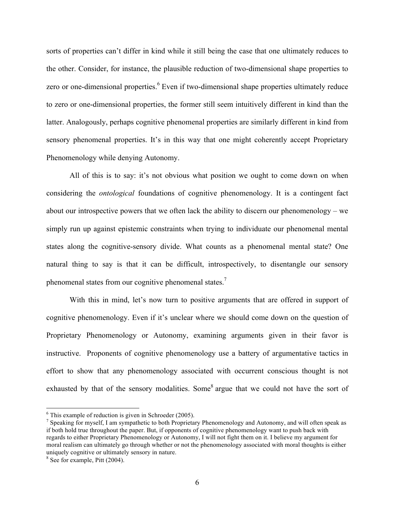sorts of properties can't differ in kind while it still being the case that one ultimately reduces to the other. Consider, for instance, the plausible reduction of two-dimensional shape properties to zero or one-dimensional properties.<sup>6</sup> Even if two-dimensional shape properties ultimately reduce to zero or one-dimensional properties, the former still seem intuitively different in kind than the latter. Analogously, perhaps cognitive phenomenal properties are similarly different in kind from sensory phenomenal properties. It's in this way that one might coherently accept Proprietary Phenomenology while denying Autonomy.

All of this is to say: it's not obvious what position we ought to come down on when considering the *ontological* foundations of cognitive phenomenology. It is a contingent fact about our introspective powers that we often lack the ability to discern our phenomenology – we simply run up against epistemic constraints when trying to individuate our phenomenal mental states along the cognitive-sensory divide. What counts as a phenomenal mental state? One natural thing to say is that it can be difficult, introspectively, to disentangle our sensory phenomenal states from our cognitive phenomenal states.<sup>7</sup>

With this in mind, let's now turn to positive arguments that are offered in support of cognitive phenomenology. Even if it's unclear where we should come down on the question of Proprietary Phenomenology or Autonomy, examining arguments given in their favor is instructive. Proponents of cognitive phenomenology use a battery of argumentative tactics in effort to show that any phenomenology associated with occurrent conscious thought is not exhausted by that of the sensory modalities. Some<sup>8</sup> argue that we could not have the sort of

 $6$  This example of reduction is given in Schroeder (2005).

<sup>&</sup>lt;sup>7</sup> Speaking for myself, I am sympathetic to both Proprietary Phenomenology and Autonomy, and will often speak as if both hold true throughout the paper. But, if opponents of cognitive phenomenology want to push back with regards to either Proprietary Phenomenology or Autonomy, I will not fight them on it. I believe my argument for moral realism can ultimately go through whether or not the phenomenology associated with moral thoughts is either uniquely cognitive or ultimately sensory in nature. <sup>8</sup> See for example, Pitt (2004).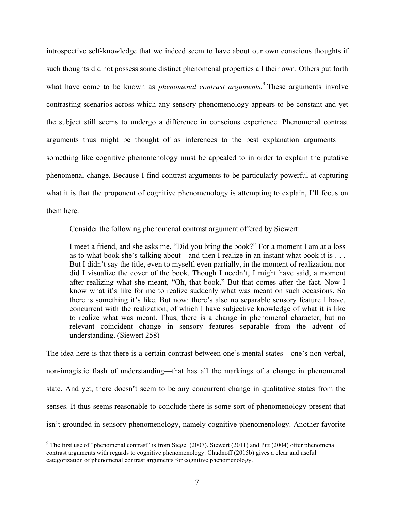introspective self-knowledge that we indeed seem to have about our own conscious thoughts if such thoughts did not possess some distinct phenomenal properties all their own. Others put forth what have come to be known as *phenomenal contrast arguments*.<sup>9</sup> These arguments involve contrasting scenarios across which any sensory phenomenology appears to be constant and yet the subject still seems to undergo a difference in conscious experience. Phenomenal contrast arguments thus might be thought of as inferences to the best explanation arguments something like cognitive phenomenology must be appealed to in order to explain the putative phenomenal change. Because I find contrast arguments to be particularly powerful at capturing what it is that the proponent of cognitive phenomenology is attempting to explain, I'll focus on them here.

Consider the following phenomenal contrast argument offered by Siewert:

I meet a friend, and she asks me, "Did you bring the book?" For a moment I am at a loss as to what book she's talking about—and then I realize in an instant what book it is . . . But I didn't say the title, even to myself, even partially, in the moment of realization, nor did I visualize the cover of the book. Though I needn't, I might have said, a moment after realizing what she meant, "Oh, that book." But that comes after the fact. Now I know what it's like for me to realize suddenly what was meant on such occasions. So there is something it's like. But now: there's also no separable sensory feature I have, concurrent with the realization, of which I have subjective knowledge of what it is like to realize what was meant. Thus, there is a change in phenomenal character, but no relevant coincident change in sensory features separable from the advent of understanding. (Siewert 258)

The idea here is that there is a certain contrast between one's mental states—one's non-verbal, non-imagistic flash of understanding—that has all the markings of a change in phenomenal state. And yet, there doesn't seem to be any concurrent change in qualitative states from the senses. It thus seems reasonable to conclude there is some sort of phenomenology present that isn't grounded in sensory phenomenology, namely cognitive phenomenology. Another favorite

 $9$  The first use of "phenomenal contrast" is from Siegel (2007). Siewert (2011) and Pitt (2004) offer phenomenal contrast arguments with regards to cognitive phenomenology. Chudnoff (2015b) gives a clear and useful categorization of phenomenal contrast arguments for cognitive phenomenology.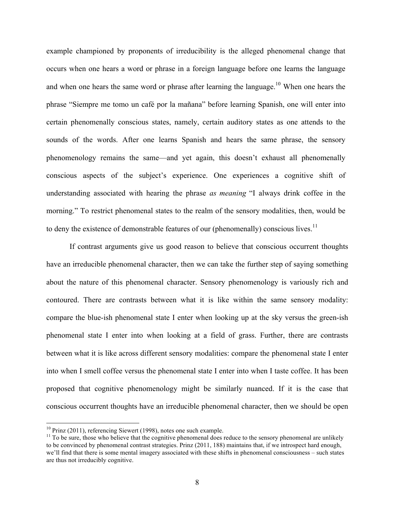example championed by proponents of irreducibility is the alleged phenomenal change that occurs when one hears a word or phrase in a foreign language before one learns the language and when one hears the same word or phrase after learning the language.<sup>10</sup> When one hears the phrase "Siempre me tomo un café por la mañana" before learning Spanish, one will enter into certain phenomenally conscious states, namely, certain auditory states as one attends to the sounds of the words. After one learns Spanish and hears the same phrase, the sensory phenomenology remains the same—and yet again, this doesn't exhaust all phenomenally conscious aspects of the subject's experience. One experiences a cognitive shift of understanding associated with hearing the phrase *as meaning* "I always drink coffee in the morning." To restrict phenomenal states to the realm of the sensory modalities, then, would be to deny the existence of demonstrable features of our (phenomenally) conscious lives.<sup>11</sup>

If contrast arguments give us good reason to believe that conscious occurrent thoughts have an irreducible phenomenal character, then we can take the further step of saying something about the nature of this phenomenal character. Sensory phenomenology is variously rich and contoured. There are contrasts between what it is like within the same sensory modality: compare the blue-ish phenomenal state I enter when looking up at the sky versus the green-ish phenomenal state I enter into when looking at a field of grass. Further, there are contrasts between what it is like across different sensory modalities: compare the phenomenal state I enter into when I smell coffee versus the phenomenal state I enter into when I taste coffee. It has been proposed that cognitive phenomenology might be similarly nuanced. If it is the case that conscious occurrent thoughts have an irreducible phenomenal character, then we should be open

<sup>&</sup>lt;sup>10</sup> Prinz (2011), referencing Siewert (1998), notes one such example.<br><sup>11</sup> To be sure, those who believe that the cognitive phenomenal does reduce to the sensory phenomenal are unlikely to be convinced by phenomenal contrast strategies. Prinz (2011, 188) maintains that, if we introspect hard enough, we'll find that there is some mental imagery associated with these shifts in phenomenal consciousness – such states are thus not irreducibly cognitive.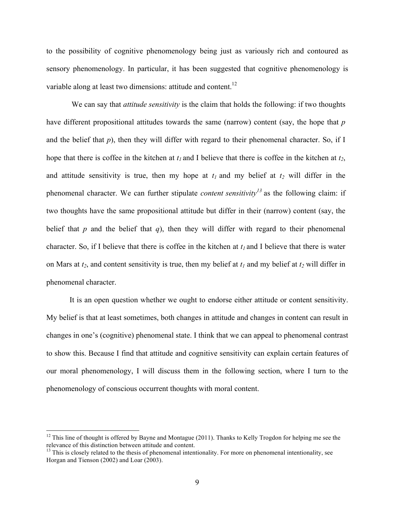to the possibility of cognitive phenomenology being just as variously rich and contoured as sensory phenomenology. In particular, it has been suggested that cognitive phenomenology is variable along at least two dimensions: attitude and content.<sup>12</sup>

We can say that *attitude sensitivity* is the claim that holds the following: if two thoughts have different propositional attitudes towards the same (narrow) content (say, the hope that *p*  and the belief that  $p$ ), then they will differ with regard to their phenomenal character. So, if I hope that there is coffee in the kitchen at  $t_1$  and I believe that there is coffee in the kitchen at  $t_2$ , and attitude sensitivity is true, then my hope at  $t_1$  and my belief at  $t_2$  will differ in the phenomenal character. We can further stipulate *content sensitivity<sup>13</sup>* as the following claim: if two thoughts have the same propositional attitude but differ in their (narrow) content (say, the belief that *p* and the belief that *q*), then they will differ with regard to their phenomenal character. So, if I believe that there is coffee in the kitchen at  $t_1$  and I believe that there is water on Mars at  $t_2$ , and content sensitivity is true, then my belief at  $t_1$  and my belief at  $t_2$  will differ in phenomenal character.

It is an open question whether we ought to endorse either attitude or content sensitivity. My belief is that at least sometimes, both changes in attitude and changes in content can result in changes in one's (cognitive) phenomenal state. I think that we can appeal to phenomenal contrast to show this. Because I find that attitude and cognitive sensitivity can explain certain features of our moral phenomenology, I will discuss them in the following section, where I turn to the phenomenology of conscious occurrent thoughts with moral content.

 $12$  This line of thought is offered by Bayne and Montague (2011). Thanks to Kelly Trogdon for helping me see the relevance of this distinction between attitude and content.

 $<sup>13</sup>$  This is closely related to the thesis of phenomenal intentionality. For more on phenomenal intentionality, see</sup> Horgan and Tienson (2002) and Loar (2003).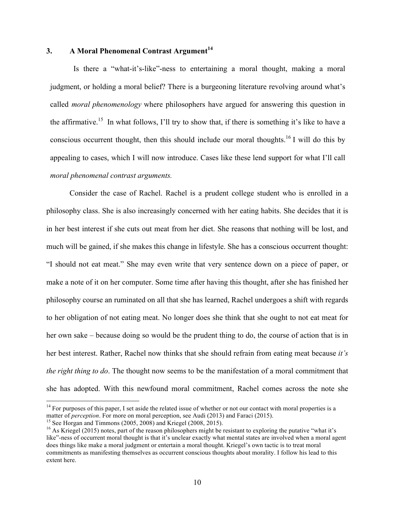## **3. A Moral Phenomenal Contrast Argument<sup>14</sup>**

Is there a "what-it's-like"-ness to entertaining a moral thought, making a moral judgment, or holding a moral belief? There is a burgeoning literature revolving around what's called *moral phenomenology* where philosophers have argued for answering this question in the affirmative.<sup>15</sup> In what follows, I'll try to show that, if there is something it's like to have a conscious occurrent thought, then this should include our moral thoughts.<sup>16</sup> I will do this by appealing to cases, which I will now introduce. Cases like these lend support for what I'll call *moral phenomenal contrast arguments.* 

Consider the case of Rachel. Rachel is a prudent college student who is enrolled in a philosophy class. She is also increasingly concerned with her eating habits. She decides that it is in her best interest if she cuts out meat from her diet. She reasons that nothing will be lost, and much will be gained, if she makes this change in lifestyle. She has a conscious occurrent thought: "I should not eat meat." She may even write that very sentence down on a piece of paper, or make a note of it on her computer. Some time after having this thought, after she has finished her philosophy course an ruminated on all that she has learned, Rachel undergoes a shift with regards to her obligation of not eating meat. No longer does she think that she ought to not eat meat for her own sake – because doing so would be the prudent thing to do, the course of action that is in her best interest. Rather, Rachel now thinks that she should refrain from eating meat because *it's the right thing to do*. The thought now seems to be the manifestation of a moral commitment that she has adopted. With this newfound moral commitment, Rachel comes across the note she

<sup>&</sup>lt;sup>14</sup> For purposes of this paper, I set aside the related issue of whether or not our contact with moral properties is a matter of *perception*. For more on moral perception, see Audi  $(2013)$  and Faraci  $(2015)$ .

<sup>&</sup>lt;sup>15</sup> See Horgan and Timmons (2005, 2008) and Kriegel (2008, 2015).<br><sup>16</sup> As Kriegel (2015) notes, part of the reason philosophers might be resistant to exploring the putative "what it's like"-ness of occurrent moral thought is that it's unclear exactly what mental states are involved when a moral agent does things like make a moral judgment or entertain a moral thought. Kriegel's own tactic is to treat moral commitments as manifesting themselves as occurrent conscious thoughts about morality. I follow his lead to this extent here.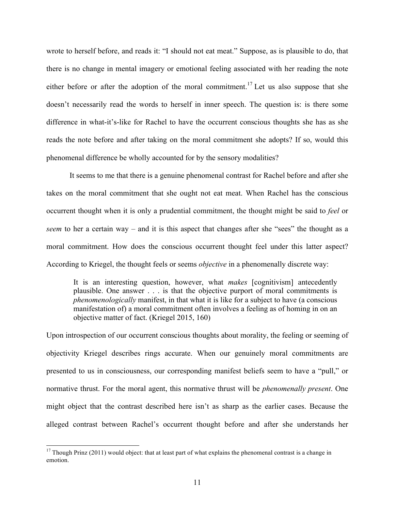wrote to herself before, and reads it: "I should not eat meat." Suppose, as is plausible to do, that there is no change in mental imagery or emotional feeling associated with her reading the note either before or after the adoption of the moral commitment.<sup>17</sup> Let us also suppose that she doesn't necessarily read the words to herself in inner speech. The question is: is there some difference in what-it's-like for Rachel to have the occurrent conscious thoughts she has as she reads the note before and after taking on the moral commitment she adopts? If so, would this phenomenal difference be wholly accounted for by the sensory modalities?

It seems to me that there is a genuine phenomenal contrast for Rachel before and after she takes on the moral commitment that she ought not eat meat. When Rachel has the conscious occurrent thought when it is only a prudential commitment, the thought might be said to *feel* or *seem* to her a certain way – and it is this aspect that changes after she "sees" the thought as a moral commitment. How does the conscious occurrent thought feel under this latter aspect? According to Kriegel, the thought feels or seems *objective* in a phenomenally discrete way:

It is an interesting question, however, what *makes* [cognitivism] antecedently plausible. One answer . . . is that the objective purport of moral commitments is *phenomenologically* manifest, in that what it is like for a subject to have (a conscious manifestation of) a moral commitment often involves a feeling as of homing in on an objective matter of fact. (Kriegel 2015, 160)

Upon introspection of our occurrent conscious thoughts about morality, the feeling or seeming of objectivity Kriegel describes rings accurate. When our genuinely moral commitments are presented to us in consciousness, our corresponding manifest beliefs seem to have a "pull," or normative thrust. For the moral agent, this normative thrust will be *phenomenally present*. One might object that the contrast described here isn't as sharp as the earlier cases. Because the alleged contrast between Rachel's occurrent thought before and after she understands her

 $17$  Though Prinz (2011) would object: that at least part of what explains the phenomenal contrast is a change in emotion.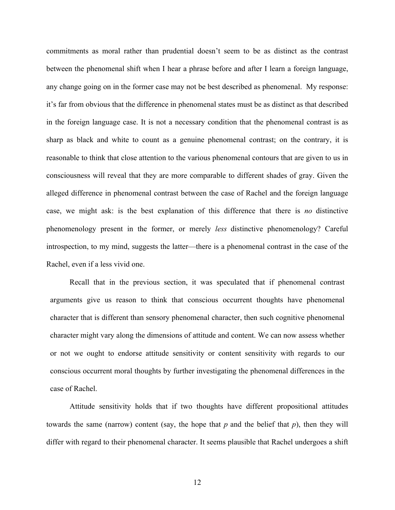commitments as moral rather than prudential doesn't seem to be as distinct as the contrast between the phenomenal shift when I hear a phrase before and after I learn a foreign language, any change going on in the former case may not be best described as phenomenal. My response: it's far from obvious that the difference in phenomenal states must be as distinct as that described in the foreign language case. It is not a necessary condition that the phenomenal contrast is as sharp as black and white to count as a genuine phenomenal contrast; on the contrary, it is reasonable to think that close attention to the various phenomenal contours that are given to us in consciousness will reveal that they are more comparable to different shades of gray. Given the alleged difference in phenomenal contrast between the case of Rachel and the foreign language case, we might ask: is the best explanation of this difference that there is *no* distinctive phenomenology present in the former, or merely *less* distinctive phenomenology? Careful introspection, to my mind, suggests the latter—there is a phenomenal contrast in the case of the Rachel, even if a less vivid one.

Recall that in the previous section, it was speculated that if phenomenal contrast arguments give us reason to think that conscious occurrent thoughts have phenomenal character that is different than sensory phenomenal character, then such cognitive phenomenal character might vary along the dimensions of attitude and content. We can now assess whether or not we ought to endorse attitude sensitivity or content sensitivity with regards to our conscious occurrent moral thoughts by further investigating the phenomenal differences in the case of Rachel.

Attitude sensitivity holds that if two thoughts have different propositional attitudes towards the same (narrow) content (say, the hope that *p* and the belief that *p*), then they will differ with regard to their phenomenal character. It seems plausible that Rachel undergoes a shift

12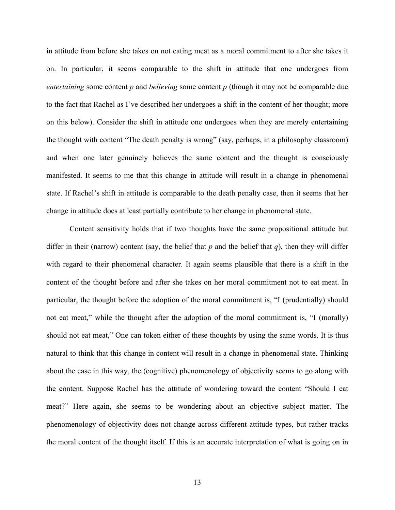in attitude from before she takes on not eating meat as a moral commitment to after she takes it on. In particular, it seems comparable to the shift in attitude that one undergoes from *entertaining* some content *p* and *believing* some content *p* (though it may not be comparable due to the fact that Rachel as I've described her undergoes a shift in the content of her thought; more on this below). Consider the shift in attitude one undergoes when they are merely entertaining the thought with content "The death penalty is wrong" (say, perhaps, in a philosophy classroom) and when one later genuinely believes the same content and the thought is consciously manifested. It seems to me that this change in attitude will result in a change in phenomenal state. If Rachel's shift in attitude is comparable to the death penalty case, then it seems that her change in attitude does at least partially contribute to her change in phenomenal state.

Content sensitivity holds that if two thoughts have the same propositional attitude but differ in their (narrow) content (say, the belief that  $p$  and the belief that  $q$ ), then they will differ with regard to their phenomenal character. It again seems plausible that there is a shift in the content of the thought before and after she takes on her moral commitment not to eat meat. In particular, the thought before the adoption of the moral commitment is, "I (prudentially) should not eat meat," while the thought after the adoption of the moral commitment is, "I (morally) should not eat meat," One can token either of these thoughts by using the same words. It is thus natural to think that this change in content will result in a change in phenomenal state. Thinking about the case in this way, the (cognitive) phenomenology of objectivity seems to go along with the content. Suppose Rachel has the attitude of wondering toward the content "Should I eat meat?" Here again, she seems to be wondering about an objective subject matter. The phenomenology of objectivity does not change across different attitude types, but rather tracks the moral content of the thought itself. If this is an accurate interpretation of what is going on in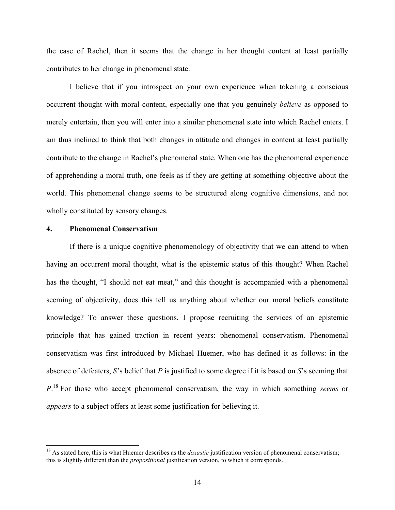the case of Rachel, then it seems that the change in her thought content at least partially contributes to her change in phenomenal state.

I believe that if you introspect on your own experience when tokening a conscious occurrent thought with moral content, especially one that you genuinely *believe* as opposed to merely entertain, then you will enter into a similar phenomenal state into which Rachel enters. I am thus inclined to think that both changes in attitude and changes in content at least partially contribute to the change in Rachel's phenomenal state. When one has the phenomenal experience of apprehending a moral truth, one feels as if they are getting at something objective about the world. This phenomenal change seems to be structured along cognitive dimensions, and not wholly constituted by sensory changes.

#### **4. Phenomenal Conservatism**

If there is a unique cognitive phenomenology of objectivity that we can attend to when having an occurrent moral thought, what is the epistemic status of this thought? When Rachel has the thought, "I should not eat meat," and this thought is accompanied with a phenomenal seeming of objectivity, does this tell us anything about whether our moral beliefs constitute knowledge? To answer these questions, I propose recruiting the services of an epistemic principle that has gained traction in recent years: phenomenal conservatism. Phenomenal conservatism was first introduced by Michael Huemer, who has defined it as follows: in the absence of defeaters, *S*'s belief that *P* is justified to some degree if it is based on *S*'s seeming that *P*. <sup>18</sup> For those who accept phenomenal conservatism, the way in which something *seems* or *appears* to a subject offers at least some justification for believing it.

<sup>&</sup>lt;sup>18</sup> As stated here, this is what Huemer describes as the *doxastic* justification version of phenomenal conservatism; this is slightly different than the *propositional* justification version, to which it corresponds.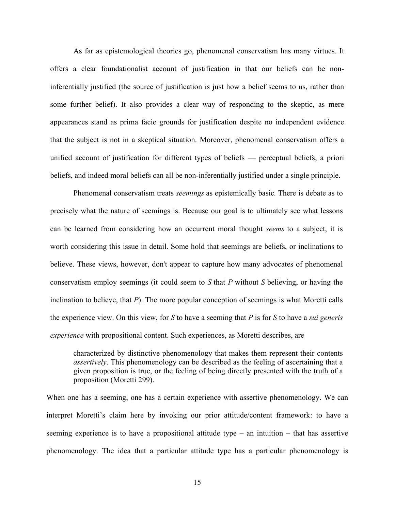As far as epistemological theories go, phenomenal conservatism has many virtues. It offers a clear foundationalist account of justification in that our beliefs can be noninferentially justified (the source of justification is just how a belief seems to us, rather than some further belief). It also provides a clear way of responding to the skeptic, as mere appearances stand as prima facie grounds for justification despite no independent evidence that the subject is not in a skeptical situation. Moreover, phenomenal conservatism offers a unified account of justification for different types of beliefs — perceptual beliefs, a priori beliefs, and indeed moral beliefs can all be non-inferentially justified under a single principle.

Phenomenal conservatism treats *seemings* as epistemically basic*.* There is debate as to precisely what the nature of seemings is. Because our goal is to ultimately see what lessons can be learned from considering how an occurrent moral thought *seems* to a subject, it is worth considering this issue in detail. Some hold that seemings are beliefs, or inclinations to believe. These views, however, don't appear to capture how many advocates of phenomenal conservatism employ seemings (it could seem to *S* that *P* without *S* believing, or having the inclination to believe, that *P*). The more popular conception of seemings is what Moretti calls the experience view. On this view, for *S* to have a seeming that *P* is for *S* to have a *sui generis experience* with propositional content. Such experiences, as Moretti describes, are

characterized by distinctive phenomenology that makes them represent their contents *assertively*. This phenomenology can be described as the feeling of ascertaining that a given proposition is true, or the feeling of being directly presented with the truth of a proposition (Moretti 299).

When one has a seeming, one has a certain experience with assertive phenomenology. We can interpret Moretti's claim here by invoking our prior attitude/content framework: to have a seeming experience is to have a propositional attitude type – an intuition – that has assertive phenomenology. The idea that a particular attitude type has a particular phenomenology is

15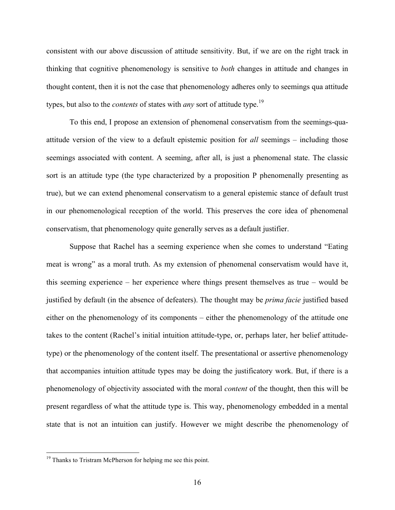consistent with our above discussion of attitude sensitivity. But, if we are on the right track in thinking that cognitive phenomenology is sensitive to *both* changes in attitude and changes in thought content, then it is not the case that phenomenology adheres only to seemings qua attitude types, but also to the *contents* of states with *any* sort of attitude type.<sup>19</sup>

To this end, I propose an extension of phenomenal conservatism from the seemings-quaattitude version of the view to a default epistemic position for *all* seemings – including those seemings associated with content. A seeming, after all, is just a phenomenal state. The classic sort is an attitude type (the type characterized by a proposition P phenomenally presenting as true), but we can extend phenomenal conservatism to a general epistemic stance of default trust in our phenomenological reception of the world. This preserves the core idea of phenomenal conservatism, that phenomenology quite generally serves as a default justifier.

Suppose that Rachel has a seeming experience when she comes to understand "Eating meat is wrong" as a moral truth. As my extension of phenomenal conservatism would have it, this seeming experience – her experience where things present themselves as true – would be justified by default (in the absence of defeaters). The thought may be *prima facie* justified based either on the phenomenology of its components – either the phenomenology of the attitude one takes to the content (Rachel's initial intuition attitude-type, or, perhaps later, her belief attitudetype) or the phenomenology of the content itself. The presentational or assertive phenomenology that accompanies intuition attitude types may be doing the justificatory work. But, if there is a phenomenology of objectivity associated with the moral *content* of the thought, then this will be present regardless of what the attitude type is. This way, phenomenology embedded in a mental state that is not an intuition can justify. However we might describe the phenomenology of

<sup>&</sup>lt;sup>19</sup> Thanks to Tristram McPherson for helping me see this point.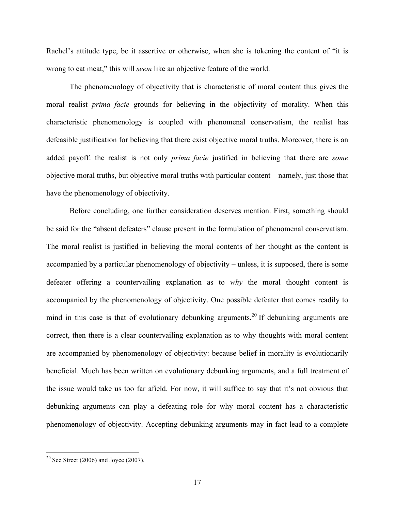Rachel's attitude type, be it assertive or otherwise, when she is tokening the content of "it is wrong to eat meat," this will *seem* like an objective feature of the world.

The phenomenology of objectivity that is characteristic of moral content thus gives the moral realist *prima facie* grounds for believing in the objectivity of morality. When this characteristic phenomenology is coupled with phenomenal conservatism, the realist has defeasible justification for believing that there exist objective moral truths. Moreover, there is an added payoff: the realist is not only *prima facie* justified in believing that there are *some* objective moral truths, but objective moral truths with particular content – namely, just those that have the phenomenology of objectivity.

Before concluding, one further consideration deserves mention. First, something should be said for the "absent defeaters" clause present in the formulation of phenomenal conservatism. The moral realist is justified in believing the moral contents of her thought as the content is accompanied by a particular phenomenology of objectivity – unless, it is supposed, there is some defeater offering a countervailing explanation as to *why* the moral thought content is accompanied by the phenomenology of objectivity. One possible defeater that comes readily to mind in this case is that of evolutionary debunking arguments.<sup>20</sup> If debunking arguments are correct, then there is a clear countervailing explanation as to why thoughts with moral content are accompanied by phenomenology of objectivity: because belief in morality is evolutionarily beneficial. Much has been written on evolutionary debunking arguments, and a full treatment of the issue would take us too far afield. For now, it will suffice to say that it's not obvious that debunking arguments can play a defeating role for why moral content has a characteristic phenomenology of objectivity. Accepting debunking arguments may in fact lead to a complete

 $20$  See Street (2006) and Joyce (2007).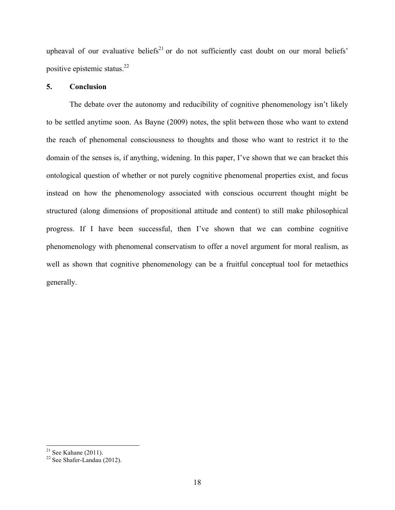upheaval of our evaluative beliefs<sup>21</sup> or do not sufficiently cast doubt on our moral beliefs' positive epistemic status.22

#### **5. Conclusion**

The debate over the autonomy and reducibility of cognitive phenomenology isn't likely to be settled anytime soon. As Bayne (2009) notes, the split between those who want to extend the reach of phenomenal consciousness to thoughts and those who want to restrict it to the domain of the senses is, if anything, widening. In this paper, I've shown that we can bracket this ontological question of whether or not purely cognitive phenomenal properties exist, and focus instead on how the phenomenology associated with conscious occurrent thought might be structured (along dimensions of propositional attitude and content) to still make philosophical progress. If I have been successful, then I've shown that we can combine cognitive phenomenology with phenomenal conservatism to offer a novel argument for moral realism, as well as shown that cognitive phenomenology can be a fruitful conceptual tool for metaethics generally.

<sup>&</sup>lt;sup>21</sup> See Kahane (2011).<br><sup>22</sup> See Shafer-Landau (2012).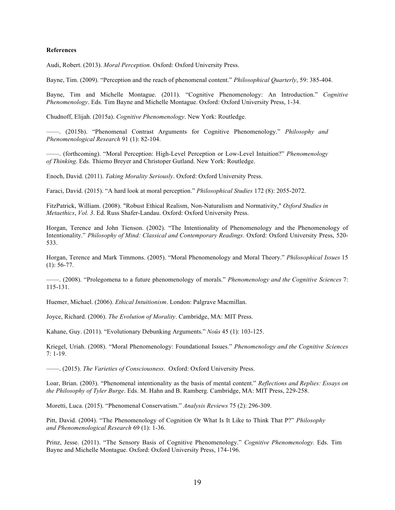#### **References**

Audi, Robert. (2013). *Moral Perception*. Oxford: Oxford University Press.

Bayne, Tim. (2009). "Perception and the reach of phenomenal content." *Philosophical Quarterly*, 59: 385-404.

Bayne, Tim and Michelle Montague. (2011). "Cognitive Phenomenology: An Introduction." *Cognitive Phenomenology*. Eds. Tim Bayne and Michelle Montague. Oxford: Oxford University Press, 1-34.

Chudnoff, Elijah. (2015a). *Cognitive Phenomenology*. New York: Routledge.

——. (2015b). "Phenomenal Contrast Arguments for Cognitive Phenomenology." *Philosophy and Phenomenological Research* 91 (1): 82-104.

——. (forthcoming). "Moral Perception: High-Level Perception or Low-Level Intuition?" *Phenomenology of Thinking*. Eds. Thiemo Breyer and Christoper Gutland. New York: Routledge.

Enoch, David. (2011). *Taking Morality Seriously*. Oxford: Oxford University Press.

Faraci, David. (2015). "A hard look at moral perception." *Philosophical Studies* 172 (8): 2055-2072.

FitzPatrick, William. (2008). "Robust Ethical Realism, Non-Naturalism and Normativity," *Oxford Studies in Metaethics*, *Vol. 3*. Ed. Russ Shafer-Landau. Oxford: Oxford University Press.

Horgan, Terence and John Tienson. (2002). "The Intentionality of Phenomenology and the Phenomenology of Intentionality." *Philosophy of Mind: Classical and Contemporary Readings*. Oxford: Oxford University Press, 520- 533.

Horgan, Terence and Mark Timmons. (2005). "Moral Phenomenology and Moral Theory." *Philosophical Issues* 15 (1): 56-77.

——. (2008). "Prolegomena to a future phenomenology of morals." *Phenomenology and the Cognitive Sciences* 7: 115-131.

Huemer, Michael. (2006). *Ethical Intuitionism*. London: Palgrave Macmillan.

Joyce, Richard. (2006). *The Evolution of Morality*. Cambridge, MA: MIT Press.

Kahane, Guy. (2011). "Evolutionary Debunking Arguments." *Noûs* 45 (1): 103-125.

Kriegel, Uriah. (2008). "Moral Phenomenology: Foundational Issues." *Phenomenology and the Cognitive Sciences*  7: 1-19.

——. (2015). *The Varieties of Consciousness*. Oxford: Oxford University Press.

Loar, Brian. (2003). "Phenomenal intentionality as the basis of mental content." *Reflections and Replies: Essays on the Philosophy of Tyler Burge*. Eds. M. Hahn and B. Ramberg. Cambridge, MA: MIT Press, 229-258.

Moretti, Luca. (2015). "Phenomenal Conservatism." *Analysis Reviews* 75 (2): 296-309.

Pitt, David. (2004). "The Phenomenology of Cognition Or What Is It Like to Think That P?" *Philosophy and Phenomenological Research* 69 (1): 1-36.

Prinz, Jesse. (2011). "The Sensory Basis of Cognitive Phenomenology." *Cognitive Phenomenology.* Eds. Tim Bayne and Michelle Montague. Oxford: Oxford University Press, 174-196.